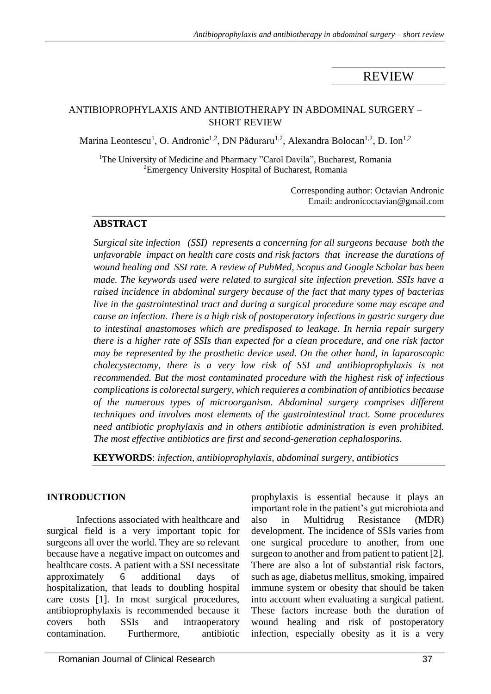# REVIEW

#### ANTIBIOPROPHYLAXIS AND ANTIBIOTHERAPY IN ABDOMINAL SURGERY – SHORT REVIEW

Marina Leontescu<sup>1</sup>, O. Andronic<sup>1,2</sup>, DN Păduraru<sup>1,2</sup>, Alexandra Bolocan<sup>1,2</sup>, D. Ion<sup>1,2</sup>

<sup>1</sup>The University of Medicine and Pharmacy "Carol Davila", Bucharest, Romania <sup>2</sup>Emergency University Hospital of Bucharest, Romania

> Corresponding author: Octavian Andronic Email: andronicoctavian@gmail.com

#### **ABSTRACT**

*Surgical site infection (SSI) represents a concerning for all surgeons because both the unfavorable impact on health care costs and risk factors that increase the durations of wound healing and SSI rate. A review of PubMed, Scopus and Google Scholar has been made. The keywords used were related to surgical site infection prevetion. SSIs have a raised incidence in abdominal surgery because of the fact that many types of bacterias live in the gastrointestinal tract and during a surgical procedure some may escape and cause an infection. There is a high risk of postoperatory infections in gastric surgery due to intestinal anastomoses which are predisposed to leakage. In hernia repair surgery there is a higher rate of SSIs than expected for a clean procedure, and one risk factor may be represented by the prosthetic device used. On the other hand, in laparoscopic cholecystectomy, there is a very low risk of SSI and antibioprophylaxis is not recommended. But the most contaminated procedure with the highest risk of infectious complications is colorectal surgery, which requieres a combination of antibiotics because of the numerous types of microorganism. Abdominal surgery comprises different techniques and involves most elements of the gastrointestinal tract. Some procedures need antibiotic prophylaxis and in others antibiotic administration is even prohibited. The most effective antibiotics are first and second-generation cephalosporins.*

**KEYWORDS**: *infection, antibioprophylaxis, abdominal surgery, antibiotics*

## **INTRODUCTION**

Infections associated with healthcare and surgical field is a very important topic for surgeons all over the world. They are so relevant because have a negative impact on outcomes and healthcare costs. A patient with a SSI necessitate approximately 6 additional days of hospitalization, that leads to doubling hospital care costs [1]. In most surgical procedures, antibioprophylaxis is recommended because it covers both SSIs and intraoperatory contamination. Furthermore, antibiotic prophylaxis is essential because it plays an important role in the patient's gut microbiota and also in Multidrug Resistance (MDR) development. The incidence of SSIs varies from one surgical procedure to another, from one surgeon to another and from patient to patient [2]. There are also a lot of substantial risk factors, such as age, diabetus mellitus, smoking, impaired immune system or obesity that should be taken into account when evaluating a surgical patient. These factors increase both the duration of wound healing and risk of postoperatory infection, especially obesity as it is a very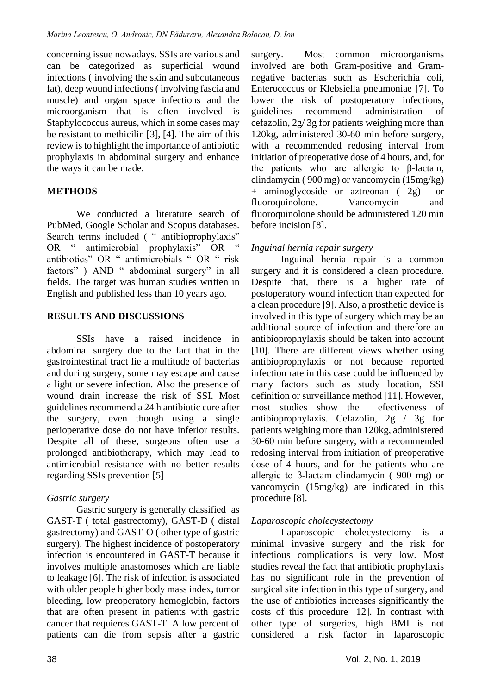concerning issue nowadays. SSIs are various and can be categorized as superficial wound infections ( involving the skin and subcutaneous fat), deep wound infections ( involving fascia and muscle) and organ space infections and the microorganism that is often involved is Staphylococcus aureus, which in some cases may be resistant to methicilin [3], [4]. The aim of this review is to highlight the importance of antibiotic prophylaxis in abdominal surgery and enhance the ways it can be made.

# **METHODS**

We conducted a literature search of PubMed, Google Scholar and Scopus databases. Search terms included ( " antibioprophylaxis" OR " antimicrobial prophylaxis" OR antibiotics" OR " antimicrobials " OR " risk factors" ) AND " abdominal surgery" in all fields. The target was human studies written in English and published less than 10 years ago.

## **RESULTS AND DISCUSSIONS**

SSIs have a raised incidence in abdominal surgery due to the fact that in the gastrointestinal tract lie a multitude of bacterias and during surgery, some may escape and cause a light or severe infection. Also the presence of wound drain increase the risk of SSI. Most guidelines recommend a 24 h antibiotic cure after the surgery, even though using a single perioperative dose do not have inferior results. Despite all of these, surgeons often use a prolonged antibiotherapy, which may lead to antimicrobial resistance with no better results regarding SSIs prevention [5]

## *Gastric surgery*

Gastric surgery is generally classified as GAST-T ( total gastrectomy), GAST-D ( distal gastrectomy) and GAST-O ( other type of gastric surgery). The highest incidence of postoperatory infection is encountered in GAST-T because it involves multiple anastomoses which are liable to leakage [6]. The risk of infection is associated with older people higher body mass index, tumor bleeding, low preoperatory hemoglobin, factors that are often present in patients with gastric cancer that requieres GAST-T. A low percent of patients can die from sepsis after a gastric

surgery. Most common microorganisms involved are both Gram-positive and Gramnegative bacterias such as Escherichia coli, Enterococcus or Klebsiella pneumoniae [7]. To lower the risk of postoperatory infections, guidelines recommend administration of cefazolin, 2g/ 3g for patients weighing more than 120kg, administered 30-60 min before surgery, with a recommended redosing interval from initiation of preoperative dose of 4 hours, and, for the patients who are allergic to β-lactam, clindamycin ( 900 mg) or vancomycin (15mg/kg) + aminoglycoside or aztreonan ( 2g) or fluoroquinolone. Vancomycin and fluoroquinolone should be administered 120 min before incision [8].

## *Inguinal hernia repair surgery*

Inguinal hernia repair is a common surgery and it is considered a clean procedure. Despite that, there is a higher rate of postoperatory wound infection than expected for a clean procedure [9]. Also, a prosthetic device is involved in this type of surgery which may be an additional source of infection and therefore an antibioprophylaxis should be taken into account [10]. There are different views whether using antibioprophylaxis or not because reported infection rate in this case could be influenced by many factors such as study location, SSI definition or surveillance method [11]. However, most studies show the efectiveness of antibioprophylaxis. Cefazolin, 2g / 3g for patients weighing more than 120kg, administered 30-60 min before surgery, with a recommended redosing interval from initiation of preoperative dose of 4 hours, and for the patients who are allergic to β-lactam clindamycin ( 900 mg) or vancomycin (15mg/kg) are indicated in this procedure [8].

## *Laparoscopic cholecystectomy*

Laparoscopic cholecystectomy is a minimal invasive surgery and the risk for infectious complications is very low. Most studies reveal the fact that antibiotic prophylaxis has no significant role in the prevention of surgical site infection in this type of surgery, and the use of antibiotics increases significantly the costs of this procedure [12]. In contrast with other type of surgeries, high BMI is not considered a risk factor in laparoscopic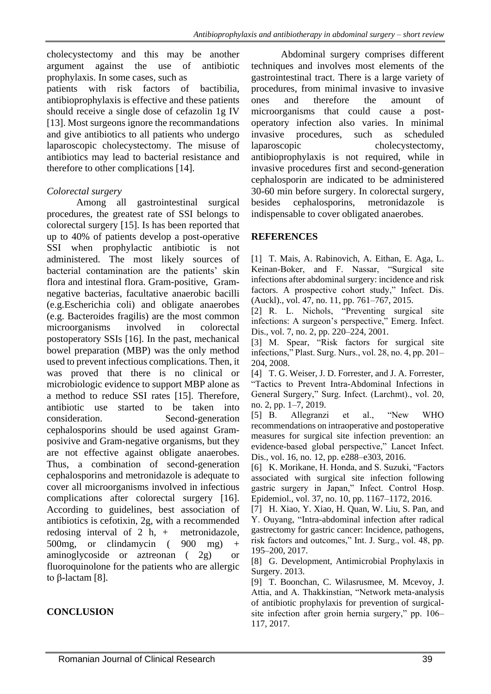cholecystectomy and this may be another argument against the use of antibiotic prophylaxis. In some cases, such as patients with risk factors of bactibilia, antibioprophylaxis is effective and these patients should receive a single dose of cefazolin 1g IV [13]. Most surgeons ignore the recommandations and give antibiotics to all patients who undergo laparoscopic cholecystectomy. The misuse of antibiotics may lead to bacterial resistance and therefore to other complications [14].

#### *Colorectal surgery*

Among all gastrointestinal surgical procedures, the greatest rate of SSI belongs to colorectal surgery [15]. Is has been reported that up to 40% of patients develop a post-operative SSI when prophylactic antibiotic is not administered. The most likely sources of bacterial contamination are the patients' skin flora and intestinal flora. Gram-positive, Gramnegative bacterias, facultative anaerobic bacilli (e.g.Escherichia coli) and obligate anaerobes (e.g. Bacteroides fragilis) are the most common microorganisms involved in colorectal postoperatory SSIs [16]. In the past, mechanical bowel preparation (MBP) was the only method used to prevent infectious complications. Then, it was proved that there is no clinical or microbiologic evidence to support MBP alone as a method to reduce SSI rates [15]. Therefore, antibiotic use started to be taken into consideration. Second-generation cephalosporins should be used against Gramposivive and Gram-negative organisms, but they are not effective against obligate anaerobes. Thus, a combination of second-generation cephalosporins and metronidazole is adequate to cover all microorganisms involved in infectious complications after colorectal surgery [16]. According to guidelines, best association of antibiotics is cefotixin, 2g, with a recommended redosing interval of 2 h, + metronidazole, 500mg, or clindamycin (900 mg) aminoglycoside or aztreonan ( 2g) or fluoroquinolone for the patients who are allergic to β-lactam [8].

#### **CONCLUSION**

Abdominal surgery comprises different techniques and involves most elements of the gastrointestinal tract. There is a large variety of procedures, from minimal invasive to invasive ones and therefore the amount of microorganisms that could cause a postoperatory infection also varies. In minimal invasive procedures, such as scheduled laparoscopic cholecystectomy, antibioprophylaxis is not required, while in invasive procedures first and second-generation cephalosporin are indicated to be administered 30-60 min before surgery. In colorectal surgery, besides cephalosporins, metronidazole is indispensable to cover obligated anaerobes.

#### **REFERENCES**

[1] T. Mais, A. Rabinovich, A. Eithan, E. Aga, L. Keinan-Boker, and F. Nassar, "Surgical site infections after abdominal surgery: incidence and risk factors. A prospective cohort study," Infect. Dis. (Auckl)., vol. 47, no. 11, pp. 761–767, 2015.

[2] R. L. Nichols, "Preventing surgical site infections: A surgeon's perspective," Emerg. Infect. Dis., vol. 7, no. 2, pp. 220–224, 2001.

[3] M. Spear, "Risk factors for surgical site infections," Plast. Surg. Nurs., vol. 28, no. 4, pp. 201– 204, 2008.

[4] T. G. Weiser, J. D. Forrester, and J. A. Forrester, "Tactics to Prevent Intra-Abdominal Infections in General Surgery," Surg. Infect. (Larchmt)., vol. 20, no. 2, pp. 1–7, 2019.

[5] B. Allegranzi et al., "New WHO recommendations on intraoperative and postoperative measures for surgical site infection prevention: an evidence-based global perspective," Lancet Infect. Dis., vol. 16, no. 12, pp. e288–e303, 2016.

[6] K. Morikane, H. Honda, and S. Suzuki, "Factors associated with surgical site infection following gastric surgery in Japan," Infect. Control Hosp. Epidemiol., vol. 37, no. 10, pp. 1167–1172, 2016.

[7] H. Xiao, Y. Xiao, H. Quan, W. Liu, S. Pan, and Y. Ouyang, "Intra-abdominal infection after radical gastrectomy for gastric cancer: Incidence, pathogens, risk factors and outcomes," Int. J. Surg., vol. 48, pp. 195–200, 2017.

[8] G. Development, Antimicrobial Prophylaxis in Surgery. 2013.

[9] T. Boonchan, C. Wilasrusmee, M. Mcevoy, J. Attia, and A. Thakkinstian, "Network meta-analysis of antibiotic prophylaxis for prevention of surgicalsite infection after groin hernia surgery," pp. 106– 117, 2017.